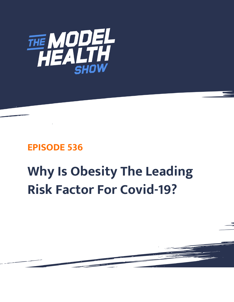

## **EPISODE 536**

## **Why Is Obesity The Leading Risk Factor For Covid-19?**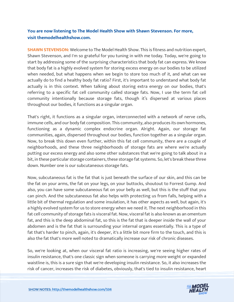## **You are now listening to The Model Health Show with Shawn Stevenson. For more, visit themodelhealthshow.com.**

**SHAWN STEVENSON:** Welcome to The Model Health Show. This is fitness and nutrition expert, Shawn Stevenson, and I'm so grateful for you tuning in with me today. Today, we're going to start by addressing some of the surprising characteristics that body fat can express. We know that body fat is a highly evolved system for storing excess energy on our bodies to be utilized when needed, but what happens when we begin to store too much of it, and what can we actually do to find a healthy body fat ratio? First, it's important to understand what body fat actually is in this context. When talking about storing extra energy on our bodies, that's referring to a specific fat cell community called storage fats. Now, I use the term fat cell community intentionally because storage fats, though it's dispersed at various places throughout our bodies, it functions as a singular organ.

That's right, it functions as a singular organ, interconnected with a network of nerve cells, immune cells, and our body fat composition. This community, also produces its own hormones, functioning as a dynamic complex endocrine organ. Alright. Again, our storage fat communities, again, dispersed throughout our bodies, function together as a singular organ. Now, to break this down even further, within this fat cell community, there are a couple of neighborhoods, and these three neighborhoods of storage fats are where we're actually putting our excess energy and also some other substances that we're going to talk about in a bit, in these particular storage containers, these storage fat systems. So, let's break these three down. Number one is our subcutaneous storage fats.

Now, subcutaneous fat is the fat that is just beneath the surface of our skin, and this can be the fat on your arms, the fat on your legs, on your buttocks, shoutout to Forrest Gump. And also, you can have some subcutaneous fat on your belly as well, but this is the stuff that you can pinch. And the subcutaneous fat also helps with protecting us from falls, helping with a little bit of thermal regulation and some insulation, it has other aspects as well, but again, it's a highly evolved system for us to store energy when we need it. The next neighborhood in this fat cell community of storage fats is visceral fat. Now, visceral fat is also known as an omentum fat, and this is the deep abdominal fat, so this is the fat that is deeper inside the wall of your abdomen and is the fat that is surrounding your internal organs essentially. This is a type of fat that's harder to pinch, again, it's deeper, it's a little bit more firm to the touch, and this is also the fat that's more well noted to dramatically increase our risk of chronic diseases.

So, we're looking at, when our visceral fat ratio is increasing, we're seeing higher rates of insulin resistance, that's one classic sign when someone is carrying more weight or expanded waistline is, this is a sure sign that we're developing insulin resistance. So, it also increases the risk of cancer, increases the risk [of diabetes, obviously, that](https://themodelhealthshow.com/obesity-and-covid19/)'[s tied to insulin resistance, heart](https://themodelhealthshow.com/obesity-and-covid19/) 

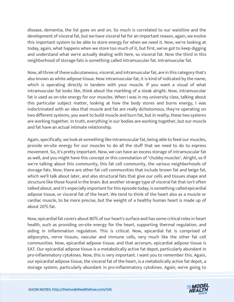disease, dementia, the list goes on and on. So much is correlated to our waistline and the development of visceral fat, but we have visceral fat for an important reason, again, we evolve this important system to be able to store energy for when we need it. Now, we're looking at today, again, what happens when we store too much of it, but first, we've got to keep digging and understand what we're actually dealing with here, so visceral fat. Now the third in this neighborhood of storage fats is something called intramuscular fat. Intramuscular fat.

Now, all three of these subcutaneous, visceral, and intramuscular fat, are in this category that's also known as white adipose tissue. Now intramuscular fat, it is kind of indicated by the name, which is operating directly in tandem with your muscle. If you want a visual of what intramuscular fat looks like, think about the marbling of a steak alright. Now, intramuscular fat is used as on-site energy for our muscles. When I was in my university class, talking about this particular subject matter, looking at how the body stores and burns energy, I was indoctrinated with an idea that muscle and fat are really dichotomous, they're operating on two different systems, you want to build muscle and burn fat, but in reality, these two systems are working together. In truth, everything in our bodies are working together, but our muscle and fat have an actual intimate relationship.

Again, specifically, we look at something like intramuscular fat, being able to feed our muscles, provide on-site energy for our muscles to do all the stuff that we need to do to express movement. So, it's pretty important. Now, we can have an excess storage of intramuscular fat as well, and you might have this concept or this connotation of "chubby muscles". Alright, so if we're talking about this community, this fat cell community, the various neighborhoods of storage fats. Now, there are other fat cell communities that include brown fat and beige fat, which we'll talk about later, and also structural fats that give our cells and tissues shape and structure like those found in the brain. But another strange type of visceral fat that isn't often talked about, and it's especially important for this episode today, is something called epicardial adipose tissue, or visceral fat of the heart. We tend to think of the heart also as a muscle or cardiac muscle, to be more precise, but the weight of a healthy human heart is made up of about 20% fat.

Now, epicardial fat covers about 80% of our heart's surface and has some critical roles in heart health, such as providing on-site energy for the heart, supporting thermal regulation, and aiding in inflammation regulation. This is critical. Now, epicardial fat is comprised of adipocytes, nerve tissues, vascular and immune cells, very much like the other fat cell communities. Now, epicardial adipose tissue, and that acronym, epicardial adipose tissue is EAT. Our epicardial adipose tissue is a metabolically active fat depot, particularly abundant in pro-inflammatory cytokines. Now, this is very important. I want you to remember this. Again, our epicardial adipose tissue, the visceral fat of the heart, is a metabolically active fat depot, a storage system, particularly abundant in pro-inflammatory cytokines. Again, we're going to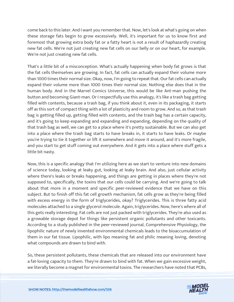come back to this later. And I want you remember that. Now, let's look at what's going on when these storage fats begin to grow excessively. Well, it's important for us to know first and foremost that growing extra body fat or a fatty heart is not a result of haphazardly creating new fat cells. We're not just creating new fat cells on our belly or on our heart, for example. We're not just creating new fat cells.

That's a little bit of a misconception. What's actually happening when body fat grows is that the fat cells themselves are growing. In fact, fat cells can actually expand their volume more than 1000 times their normal size. Okay, now, I'm going to repeat that. Our fat cells can actually expand their volume more than 1000 times their normal size. Nothing else does that in the human body. And in the Marvel Comics Universe, this would be like Ant-man pushing the button and becoming Giant-man. Or I respectfully use this analogy, it's like a trash bag getting filled with contents, because a trash bag, if you think about it, even in its packaging, it starts off as this sort of compact thing with a lot of plasticity and room to grow. And so, as that trash bag is getting filled up, getting filled with contents, and the trash bag has a certain capacity, and it's going to keep expanding and expanding and expanding, depending on the quality of that trash bag as well, we can get to a place where it's pretty sustainable. But we can also get into a place where the trash bag starts to have breaks in, it starts to have leaks. Or maybe you're trying to tie it together or lift it somewhere and move it around, and it's more fragile, and you start to get stuff coming out everywhere. And it gets into a place where stuff gets a little bit nasty.

Now, this is a specific analogy that I'm utilizing here as we start to venture into new domains of science today, looking at leaky gut, looking at leaky brain. And also, just cellular activity where there's leaks or breaks happening, and things are getting in places where they're not supposed to, specifically, the toxins that our cells could be carrying. And we're going to talk about that more in a moment and specific peer-reviewed evidence that we have on this subject. But to finish off this fat cell growth mechanism, fat cells grow as they're being filled with excess energy in the form of triglycerides, okay? Triglycerides. This is three fatty acid molecules attached to a single glycerol molecule. Again, triglycerides. Now, here's where all of this gets really interesting. Fat cells are not just packed with triglycerides. They're also used as a growable storage depot for things like persistent organic pollutants and other toxicants. According to a study published in the peer-reviewed journal, Comprehensive Physiology, the lipophilic nature of newly invented environmental chemicals leads to the bioaccumulation of them in our fat tissue. Lipophilic, with lipo meaning fat and philic meaning loving, denoting what compounds are drawn to bind with.

So, these persistent pollutants, these chemicals that are released into our environment have a fat-loving capacity to them. They're drawn to bind with fat. When we gain excessive weight, we literally become a magnet for environmental toxins. The researchers have noted that PCBs,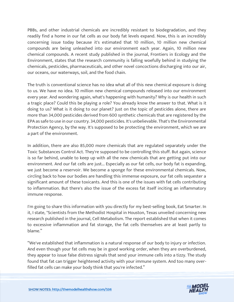PBBs, and other industrial chemicals are incredibly resistant to biodegradation, and they readily find a home in our fat cells as our body fat levels expand. Now, this is an incredibly concerning issue today because it's estimated that 10 million, 10 million new chemical compounds are being unleashed into our environment each year. Again, 10 million new chemical compounds. A recent study published in the journal, Frontiers in Ecology and the Environment, states that the research community is falling woefully behind in studying the chemicals, pesticides, pharmaceuticals, and other novel concoctions discharging into our air, our oceans, our waterways, soil, and the food chain.

The truth is conventional science has no idea what all of this new chemical exposure is doing to us. We have no idea. 10 million new chemical compounds released into our environment every year. And wondering again, what's happening with humanity? Why is our health in such a tragic place? Could this be playing a role? You already know the answer to that. What is it doing to us? What is it doing to our planet? Just on the topic of pesticides alone, there are more than 34,000 pesticides derived from 600 synthetic chemicals that are registered by the EPA as safe to use in our country. 34,000 pesticides. It's unbelievable. That's the Environmental Protection Agency, by the way. It's supposed to be protecting the environment, which we are a part of the environment.

In addition, there are also 85,000 more chemicals that are regulated separately under the Toxic Substances Control Act. They're supposed to be controlling this stuff. But again, science is so far behind, unable to keep up with all the new chemicals that are getting put into our environment. And our fat cells are just... Especially as our fat cells, our body fat is expanding, we just become a reservoir. We become a sponge for these environmental chemicals. Now, circling back to how our bodies are handling this immense exposure, our fat cells sequester a significant amount of these toxicants. And this is one of the issues with fat cells contributing to inflammation. But there's also the issue of the excess fat itself inciting an inflammatory immune response.

I'm going to share this information with you directly for my best-selling book, Eat Smarter. In it, I state, "Scientists from the Methodist Hospital in Houston, Texas unveiled concerning new research published in the journal, Cell Metabolism. The report established that when it comes to excessive inflammation and fat storage, the fat cells themselves are at least partly to blame."

"We've established that inflammation is a natural response of our body to injury or infection. And even though your fat cells may be in good working order, when they are overburdened, they appear to issue false distress signals that send your immune cells into a tizzy. The study found that fat can trigger heightened activity with your immune system. And too many overfilled fat cells can make your body think that you're infected."

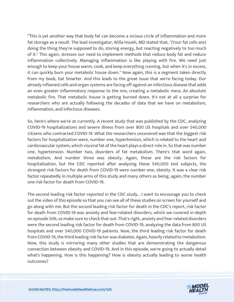"This is yet another way that body fat can become a vicious circle of inflammation and more fat storage as a result. The lead investigator, Willa Hsueh, MD stated that, "(Your fat cells are) doing the thing they're supposed to do, storing energy, but reacting negatively to too much of it." This again, stresses our need to implement methods that reduce body fat and reduce inflammation collectively. Managing inflammation is like playing with fire. We need just enough to keep your house warm, cook, and keep everything running, but when it's in excess, it can quickly burn your metabolic house down." Now again, this is a segment taken directly from my book, Eat Smarter. And this leads to the great issue that we're facing today. Our already inflamed cells and organ systems are facing off against an infectious disease that adds an even greater inflammatory response to the mix, creating a metabolic mess. An absolute metabolic fire. That metabolic house is getting burned down. It's not at all a surprise for researchers who are actually following the decades of data that we have on metabolism, inflammation, and infectious diseases.

So, here's where we're at currently. A recent study that was published by the CDC, analyzing COVID-19 hospitalizations and severe illness from over 800 US hospitals and over 540,000 citizens who contracted COVID-19. What the researchers uncovered was that the biggest risk factors for hospitalization were, number one, hypertension, which is related to the heart and cardiovascular system, which visceral fat of the heart plays a direct role in. So that was number one, hypertension. Number two, disorders of fat metabolism. There's that word again, metabolism. And number three was obesity. Again, these are the risk factors for hospitalization, but the CDC reported after analyzing these 540,000 test subjects, the strongest risk factors for death from COVID-19 were number one, obesity. It was a clear risk factor repeatedly in multiple arms of this study and many others as being, again, the number one risk factor for death from COVID-19.

The second leading risk factor reported in the CDC study... I want to encourage you to check out the video of this episode so that you can see all of these studies on screen for yourself and go along with me. But the second leading risk factor for death in the CDC's report, risk factor for death from COVID-19 was anxiety and fear-related disorders, which we covered in-depth on episode 506, so make sure to check that out. That's right, anxiety and fear-related disorders were the second leading risk factor for death from COVID-19, analyzing the data from 800 US hospitals and over 540,000 COVID-19 patients. Now, the third leading risk factor for death from COVID-19, the third leading risk factor was diabetes. Again, heavily related to metabolism. Now, this study is mirroring many other studies that are demonstrating the dangerous connection between obesity and COVID-19. And in this episode, we're going to actually detail what's happening. How is this happening? How is obesity actually leading to worse health outcomes?

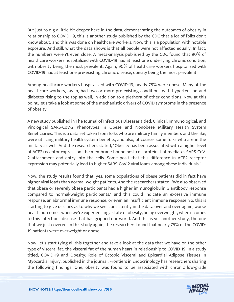But just to dig a little bit deeper here in the data, demonstrating the outcomes of obesity in relationship to COVID-19, this is another study published by the CDC that a lot of folks don't know about, and this was done on healthcare workers. Now, this is a population with notable exposure. And still, what the data shows is that all people were not affected equally. In fact, the numbers weren't even close. A meta-analysis published by the CDC found that 90% of healthcare workers hospitalized with COVID-19 had at least one underlying chronic condition, with obesity being the most prevalent. Again, 90% of healthcare workers hospitalized with COVID-19 had at least one pre-existing chronic disease, obesity being the most prevalent.

Among healthcare workers hospitalized with COVID-19, nearly 75% were obese. Many of the healthcare workers, again, had two or more pre-existing conditions with hypertension and diabetes rising to the top as well, in addition to a plethora of other conditions. Now at this point, let's take a look at some of the mechanistic drivers of COVID symptoms in the presence of obesity.

A new study published in The Journal of Infectious Diseases titled, Clinical, Immunological, and Virological SARS-CoV-2 Phenotypes in Obese and Nonobese Military Health System Beneficiaries. This is a data set taken from folks who are military family members and the like, were utilizing military health system benefits, and also, of course, some folks who are in the military as well. And the researchers stated, "Obesity has been associated with a higher level of ACE2 receptor expression, the membrane-bound host cell protein that mediates SARS-CoV-2 attachment and entry into the cells. Some posit that this difference in ACE2 receptor expression may potentially lead to higher SARS-CoV-2 viral loads among obese individuals."

Now, the study results found that, yes, some populations of obese patients did in fact have higher viral loads than normal-weight patients. And the researchers stated, "We also observed that obese or severely obese participants had a higher immunoglobulin G antibody response compared to normal-weight participants," and this could indicate an excessive immune response, an abnormal immune response, or even an insufficient immune response. So, this is starting to give us clues as to why we see, consistently in the data over and over again, worse health outcomes, when we're experiencing a state of obesity, being overweight, when it comes to this infectious disease that has gripped our world. And this is yet another study, the one that we just covered, in this study again, the researchers found that nearly 75% of the COVID-19 patients were overweight or obese.

Now, let's start tying all this together and take a look at the data that we have on the other type of visceral fat, the visceral fat of the human heart in relationship to COVID-19. In a study titled, COVID-19 and Obesity: Role of Ectopic Visceral and Epicardial Adipose Tissues in Myocardial Injury, published in the journal, Frontiers in Endocrinology has researchers sharing the following findings. One, obesity was found to be associated with chronic low-grade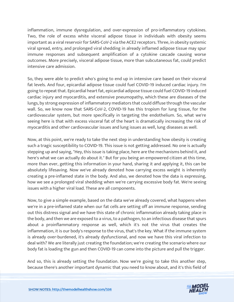inflammation, immune dysregulation, and over-expression of pro-inflammatory cytokines. Two, the role of excess white visceral adipose tissue in individuals with obesity seems important as a viral reservoir for SARS-CoV-2 via the ACE2 receptors. Three, in obesity systemic viral spread, entry, and prolonged viral shedding in already inflamed adipose tissue may spur immune responses and subsequent amplification of a cytokine cascade causing worse outcomes. More precisely, visceral adipose tissue, more than subcutaneous fat, could predict intensive care admission.

So, they were able to predict who's going to end up in intensive care based on their visceral fat levels. And four, epicardial adipose tissue could fuel COVID-19 induced cardiac injury. I'm going to repeat that. Epicardial heart fat, epicardial adipose tissue could fuel COVID-19 induced cardiac injury and myocarditis, and extensive pneumopathy, which these are diseases of the lungs, by strong expression of inflammatory mediators that could diffuse through the vascular wall. So, we know now that SARS-CoV-2, COVID-19 has this tropism for lung tissue, for the cardiovascular system, but more specifically in targeting the endothelium. So, what we're seeing here is that with excess visceral fat of the heart is dramatically increasing the risk of myocarditis and other cardiovascular issues and lung issues as well, lung diseases as well.

Now, at this point, we're ready to take the next step in understanding how obesity is creating such a tragic susceptibility to COVID-19. This issue is not getting addressed. No one is actually stepping up and saying, "Hey, this issue is taking place, here are the mechanisms behind it, and here's what we can actually do about it." But for you being an empowered citizen at this time, more than ever, getting this information in your hand, sharing it and applying it, this can be absolutely lifesaving. Now we've already denoted how carrying excess weight is inherently creating a pre-inflamed state in the body. And also, we denoted how the data is expressing, how we see a prolonged viral shedding when we're carrying excessive body fat. We're seeing issues with a higher viral load. These are all components.

Now, to give a simple example, based on the data we've already covered, what happens when we're in a pre-inflamed state when our fat cells are setting off an immune response, sending out this distress signal and we have this state of chronic inflammation already taking place in the body, and then we are exposed to a virus, to a pathogen, to an infectious disease that spurs about a proinflammatory response as well, which it's not the virus that creates the inflammation, it is our body's response to the virus, that's the key. What if the immune system is already over-burdened, it's already dysfunctional, and now we have this viral infection to deal with? We are literally just creating the foundation; we're creating the scenario where our body fat is loading the gun and then COVID-19 can come into the picture and pull the trigger.

And so, this is already setting the foundation. Now we're going to take this another step, because there's another important dynamic that you need to know about, and it's this field of

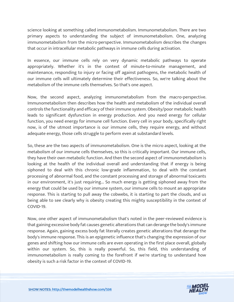science looking at something called immunometabolism. Immunometabolism. There are two primary aspects to understanding the subject of immunometabolism. One, analyzing immunometabolism from the micro-perspective. Immunometabolism describes the changes that occur in intracellular metabolic pathways in immune cells during activation.

In essence, our immune cells rely on very dynamic metabolic pathways to operate appropriately. Whether it's in the context of minute-to-minute management, and maintenance, responding to injury or facing off against pathogens, the metabolic health of our immune cells will ultimately determine their effectiveness. So, we're talking about the metabolism of the immune cells themselves. So that's one aspect.

Now, the second aspect, analyzing immunometabolism from the macro-perspective. Immunometabolism then describes how the health and metabolism of the individual overall controls the functionality and efficacy of their immune system. Obesity/poor metabolic health leads to significant dysfunction in energy production. And you need energy for cellular function, you need energy for immune cell function. Every cell in your body, specifically right now, is of the utmost importance is our immune cells, they require energy, and without adequate energy, those cells struggle to perform even at substandard levels.

So, these are the two aspects of immunometabolism. One is the micro aspect, looking at the metabolism of our immune cells themselves, so this is critically important. Our immune cells, they have their own metabolic function. And then the second aspect of immunometabolism is looking at the health of the individual overall and understanding that if energy is being siphoned to deal with this chronic low-grade inflammation, to deal with the constant processing of abnormal food, and the constant processing and storage of abnormal toxicants in our environment, it's just requiring... So much energy is getting siphoned away from the energy that could be used by our immune system, our immune cells to mount an appropriate response. This is starting to pull away the cobwebs, it is starting to part the clouds, and us being able to see clearly why is obesity creating this mighty susceptibility in the context of COVID-19.

Now, one other aspect of immunometabolism that's noted in the peer-reviewed evidence is that gaining excessive body fat causes genetic alterations that can derange the body's immune response. Again, gaining excess body fat literally creates genetic alterations that derange the body's immune response. This is an epigenetic influence that's changing the expression of our genes and shifting how our immune cells are even operating in the first place overall, globally within our system. So, this is really powerful. So, this field, this understanding of immunometabolism is really coming to the forefront if we're starting to understand how obesity is such a risk factor in the context of COVID-19.

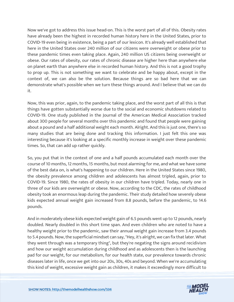Now we've got to address this issue head-on. This is the worst part of all of this. Obesity rates have already been the highest in recorded human history here in the United States, prior to COVID-19 even being in existence, being a part of our lexicon. It's already well established that here in the United States over 240 million of our citizens were overweight or obese prior to these pandemic times even taking place. Again, 240 million US citizens being overweight or obese. Our rates of obesity, our rates of chronic disease are higher here than anywhere else on planet earth than anywhere else in recorded human history. And this is not a good trophy to prop up. This is not something we want to celebrate and be happy about, except in the context of, we can also be the solution. Because things are so bad here that we can demonstrate what's possible when we turn these things around. And I believe that we can do it.

Now, this was prior, again, to the pandemic taking place, and the worst part of all this is that things have gotten substantially worse due to the social and economic shutdowns related to COVID-19. One study published in the Journal of the American Medical Association tracked about 300 people for several months over this pandemic and found that people were gaining about a pound and a half additional weight each month. Alright. And this is just one, there's so many studies that are being done and tracking this information. I just felt this one was interesting because it's looking at a specific monthly increase in weight over these pandemic times. So, that can add up rather quickly.

So, you put that in the context of one and a half pounds accumulated each month over the course of 10 months, 12 months, 15 months, but most alarming for me, and what we have some of the best data on, is what's happening to our children. Here in the United States since 1980, the obesity prevalence among children and adolescents has almost tripled, again, prior to COVID-19. Since 1980, the rates of obesity in our children have tripled. Today, nearly one in three of our kids are overweight or obese. Now, according to the CDC, the rates of childhood obesity took an enormous leap during the pandemic. Their study detailed how severely obese kids expected annual weight gain increased from 8.8 pounds, before the pandemic, to 14.6 pounds.

And in moderately obese kids expected weight gain of 6.5 pounds went up to 12 pounds, nearly doubled. Nearly doubled in this short time span. And even children who are noted to have a healthy weight prior to the pandemic, saw their annual weight gain increase from 3.4 pounds to 5.4 pounds. Now, the superficial mindset can say, "Hey, it's alright, we can fix that later. What they went through was a temporary thing", but they're negating the signs around recidivism and how our weight accumulation during childhood and as adolescents then is the launching pad for our weight, for our metabolism, for our health state, our prevalence towards chronic diseases later in life, once we get into our 20s, 30s, 40s and beyond. When we're accumulating this kind of weight, excessive weight gain as children, it makes it exceedingly more difficult to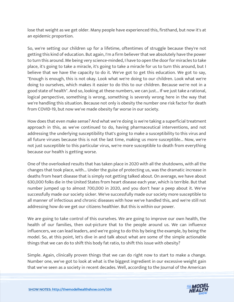lose that weight as we get older. Many people have experienced this, firsthand, but now it's at an epidemic proportion.

So, we're setting our children up for a lifetime, oftentimes of struggle because they're not getting this kind of education. But again, I'm a firm believer that we absolutely have the power to turn this around. Me being very science-minded, I have to open the door for miracles to take place, it's going to take a miracle, it's going to take a miracle for us to turn this around, but I believe that we have the capacity to do it. We've got to get this education. We got to say, "Enough is enough, this is not okay. Look what we're doing to our children. Look what we're doing to ourselves, which makes it easier to do this to our children. Because we're not in a good state of health". And so, looking at these numbers, we can just... If we just take a rational, logical perspective, something is wrong, something is severely wrong here in the way that we're handling this situation. Because not only is obesity the number one risk factor for death from COVID-19, but now we've made obesity far worse in our society.

How does that even make sense? And what we're doing is we're taking a superficial treatment approach in this, as we've continued to do, having pharmaceutical interventions, and not addressing the underlying susceptibility that's going to make a susceptibility to this virus and all future viruses because this is not the last time, making us more susceptible... Now, we're not just susceptible to this particular virus, we're more susceptible to death from everything because our health is getting worse.

One of the overlooked results that has taken place in 2020 with all the shutdowns, with all the changes that took place, with... Under the guise of protecting us, was the dramatic increase in deaths from heart disease that is simply not getting talked about. On average, we have about 630,000 folks die in the United States from heart disease each year, which is terrible. But that number jumped up to almost 700,000 in 2020, and you don't hear a peep about it. We've successfully made our society sicker. We've successfully made our society more susceptible to all manner of infectious and chronic diseases with how we've handled this, and we're still not addressing how do we get our citizens healthier. But this is within our power.

We are going to take control of this ourselves. We are going to improve our own health, the health of our families, then out-picture that to the people around us. We can influence influencers, we can lead leaders, and we're going to do this by being the example, by being the model. So, at this point, let's dive in and talk about what are some of the simple actionable things that we can do to shift this body fat ratio, to shift this issue with obesity?

Simple. Again, clinically proven things that we can do right now to start to make a change. Number one, we've got to look at what is the biggest ingredient in our excessive weight gain that we've seen as a society in recent decades. Well, according to the Journal of the American

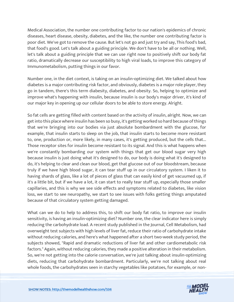Medical Association, the number one contributing factor to our nation's epidemics of chronic diseases, heart disease, obesity, diabetes, and the like, the number one contributing factor is poor diet. We've got to remove the cause. But let's not go and just try and say, This food's bad, that food's good. Let's talk about a guiding principle. We don't have to be all or nothing. Well, let's talk about a guiding principle that we can use right now to positively shift our body fat ratio, dramatically decrease our susceptibility to high viral loads, to improve this category of Immunometabolism, putting things in our favor.

Number one, in the diet context, is taking on an insulin-optimizing diet. We talked about how diabetes is a major contributing risk factor, and obviously, diabetes is a major role player, they go in tandem, there's this term diabesity, diabetes, and obesity. So, helping to optimize and improve what's happening with insulin, because insulin is our body's major driver, it's kind of our major key in opening up our cellular doors to be able to store energy. Alright.

So fat cells are getting filled with content based on the activity of insulin, alright. Now, we can get into this place where insulin has been so busy, it's getting worked so hard because of things that we're bringing into our bodies via just absolute bombardment with the glucose, for example, that insulin starts to sleep on the job, that insulin starts to become more resistant to, one, production or, more likely, in many cases, it's getting produced, but the cells that... Those receptor sites for insulin become resistant to its signal. And this is what happens when we're constantly bombarding our system with things that get our blood sugar very high because insulin is just doing what it's designed to do, our body is doing what it's designed to do, it's helping to clear and clean our blood, get that glucose out of our bloodstream, because truly if we have high blood sugar, it can tear stuff up in our circulatory system. I liken it to having shards of glass, like a lot of pieces of glass that can easily kind of get vacuumed up, if it's a little bit, but if we have a lot, it can start to really tear stuff up, especially those smaller capillaries, and this is why we see side effects and symptoms related to diabetes, like vision loss, we start to see neuropathy, we start to see issues with folks getting things amputated because of that circulatory system getting damaged.

What can we do to help to address this, to shift our body fat ratio, to improve our insulin sensitivity, is having an insulin-optimizing diet? Number one, the clear indicator here is simply reducing the carbohydrate load. A recent study published in the Journal, Cell Metabolism, had overweight test subjects with high levels of liver fat, reduce their ratio of carbohydrate intake without reducing calories, and here's what happened after a short two-week study period, the subjects showed, "Rapid and dramatic reductions of liver fat and other cardiometabolic risk factors." Again, without reducing calories, they made a positive alteration in their metabolism. So, we're not getting into the calorie conversation, we're just talking about insulin-optimizing diets, reducing that carbohydrate bombardment. Particularly, we're not talking about real whole foods, the carbohydrates seen in starchy vegetables like potatoes, for example, or non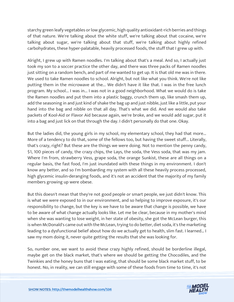starchy green leafy vegetables or low glycemic, high quality antioxidant-rich berries and things of that nature. We're talking about the white stuff, we're talking about that cocaine, we're talking about sugar, we're talking about that stuff, we're talking about highly refined carbohydrates, these hyper-palatable, heavily processed foods, the stuff that I grew up with.

Alright, I grew up with Ramen noodles. I'm talking about that's a meal. And so, I actually just took my son to a soccer practice the other day, and there was three packs of Ramen noodles just sitting on a random bench, and part of me wanted to get up. It is that old me was in there. We used to take Ramen noodles to school. Alright, but not like what you think. We're not like putting them in the microwave at the... We didn't have it like that. I was in the free lunch program. My school... I was in... I was not in a good neighborhood. What we would do is take the Ramen noodles and put them into a plastic baggy, crunch them up, like smash them up, add the seasoning in and just kind of shake the bag up and just nibble, just like a little, put your hand into the bag and nibble on that all day. That's what we did. And we would also take packets of Kool-Aid or Flavor Aid because again, we're broke, and we would add sugar, put it into a bag and just lick on that through the day. I didn't personally do that one. Okay.

But the ladies did, the young girls in my school, my elementary school, they had that more... More of a tendency to do that, some of the fellows too, but having the sweet stuff... Literally, that's crazy, right? But these are the things we were doing. Not to mention the penny candy, \$1, 100 pieces of candy, the crazy chips, the Lays, the soda, the Vess soda, that was my jam. Where I'm from, strawberry Vess, grape soda, the orange Sunkist, these are all things on a regular basis, the fast food, I'm just inundated with these things in my environment. I don't know any better, and so I'm bombarding my system with all these heavily process processed, high glycemic insulin-deranging foods, and it's not an accident that the majority of my family members growing up were obese.

But this doesn't mean that they're not good people or smart people, we just didn't know. This is what we were exposed to in our environment, and so helping to improve exposure, it's our responsibility to change, but the key is we have to be aware that change is possible, we have to be aware of what change actually looks like. Let me be clear, because in my mother's mind when she was wanting to lose weight, in her state of obesity, she got the McLean burger, this is when McDonald's came out with the McLean, trying to do better, diet soda, it's the marketing leading to a dysfunctional belief about how do we actually get to health, slim fast. I learned… I saw my mom doing it, never quite getting the results that she was looking for.

So, number one, we want to avoid these crazy highly refined, should be borderline illegal, maybe get on the black market, that's where we should be getting the Chocodiles, and the Twinkies and the honey buns that I was eating, that should be some black market stuff, to be honest. No, in reality, we can still engage with some of these foods from time to time, it's not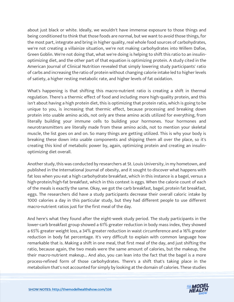about just black or white. Ideally, we wouldn't have immense exposure to those things and being conditioned to think that those foods are normal, but we want to avoid those things, for the most part, integrate and bring in higher quality, real whole food sources of carbohydrates, we're not creating a villainize situation, we're not making carbohydrates into Willem Dafoe, Green Goblin. We're not doing that, what we're doing is helping to shift this ratio to an insulinoptimizing diet, and the other part of that equation is optimizing protein. A study cited in the American Journal of Clinical Nutrition revealed that simply lowering study participants' ratio of carbs and increasing the ratio of protein without changing calorie intake led to higher levels of satiety, a higher resting metabolic rate, and higher levels of fat oxidation.

What's happening is that shifting this macro-nutrient ratio is creating a shift in thermal regulation. There's a thermic effect of food and including more high-quality protein, and this isn't about having a high protein diet, this is optimizing that protein ratio, which is going to be unique to you, is increasing that thermic effect, because processing and breaking down protein into usable amino acids, not only are these amino acids utilized for everything, from literally building your immune cells to building your hormones. Your hormones and neurotransmitters are literally made from these amino acids, not to mention your skeletal muscle, the list goes on and on. So many things are getting utilized. This is why your body is breaking these down into usable components and shipping them all over the place, so it's creating this kind of metabolic power by, again, optimizing protein and creating an insulinoptimizing diet overall.

Another study, this was conducted by researchers at St. Louis University, in my hometown, and published in the International Journal of obesity, and it sought to discover what happens with fat loss when you eat a high carbohydrate breakfast, which in this instance is a bagel, versus a high-protein/high-fat breakfast, which in this context is eggs. When the calorie count of each of the meals is exactly the same. Okay, we got the carb breakfast, bagel, protein fat breakfast, eggs. The researchers did have a study participants decrease their overall caloric intake by 1000 calories a day in this particular study, but they had different people to use different macro-nutrient ratios just for the first meal of the day.

And here's what they found after the eight-week study period. The study participants in the lower-carb breakfast group showed a 61% greater reduction in body mass index, they showed a 65% greater weight loss, a 34% greater reduction in waist circumference and a 16% greater reduction in body fat percentage. It's very difficult to explain with common language how remarkable that is. Making a shift in one meal, that first meal of the day, and just shifting the ratio, because again, the two meals were the same amount of calories, but the makeup, the their macro-nutrient makeup... And also, you can lean into the fact that the bagel is a more process-refined form of those carbohydrates. There's a shift that's taking place in the metabolism that's not accounted for simply by looking at the domain of calories. These studies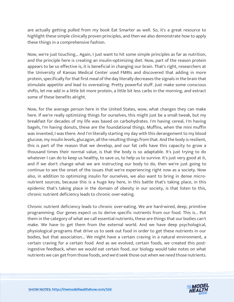are actually getting pulled from my book Eat Smarter as well. So, it's a great resource to highlight these simple clinically proven principles, and then we also demonstrate how to apply these things in a comprehensive fashion.

Now, we're just touching... Again, I just want to hit some simple principles as far as nutrition, and the principle here is creating an insulin-optimizing diet. Now, part of the reason protein appears to be so effective is, it is beneficial in changing our brain. That's right, researchers at the University of Kansas Medical Center used FMRIs and discovered that adding in more protein, specifically for that first meal of the day literally decreases the signals in the brain that stimulate appetite and lead to overeating. Pretty powerful stuff. Just make some conscious shifts, let me add in a little bit more protein, a little bit less carbs in the morning, and extract some of these benefits alright.

Now, for the average person here in the United States, wow, what changes they can make here. If we're really optimizing things for ourselves, this might just be a small tweak, but my breakfast for decades of my life was based on carbohydrates. I'm having cereal, I'm having bagels, I'm having donuts, these are the foundational things. Muffins, when the mini muffin was invented, I was there. And I'm literally starting my day with this derangement to my blood glucose, my insulin levels, glucagon, all the resulting things from that. And the body is resilient, this is part of the reason that we develop, and our fat cells have this capacity to grow a thousand times their normal value, is that the body is so adaptable. It's just trying to do whatever I can do to keep us healthy, to save us, to help us to survive. It's just very good at it, and if we don't change what we are instructing our body to do, then we're just going to continue to see the onset of the issues that we're experiencing right now as a society. Now also, in addition to optimizing insulin for ourselves, we also want to bring in dense micronutrient sources, because this is a huge key here, in this battle that's taking place, in this epidemic that's taking place in the domain of obesity in our society, is that listen to this, chronic nutrient deficiency leads to chronic over-eating.

Chronic nutrient deficiency leads to chronic over-eating. We are hard-wired, deep, primitive programming. Our genes expect us to derive specific nutrients from our food. This is... Put them in the category of what we call essential nutrients, these are things that our bodies can't make. We have to get them from the external world. And we have deep psychological, physiological programs that drive us to seek out food in order to get these nutrients in our bodies, but that association... We might have a certain craving in a natural environment, a certain craving for a certain food. And as we evolved, certain foods, we created this postingestive feedback, when we would eat certain food, our biology would take notes on what nutrients we can get from those foods, and we'd seek those out when we need those nutrients.

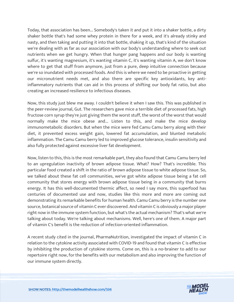Today, that association has been... Somebody's taken it and put it into a shaker bottle, a dirty shaker bottle that's had some whey protein in there for a week, and it's already stinky and nasty, and then taking and putting it into that bottle, shaking it up, that's kind of the situation we're dealing with as far as our association with our body's understanding where to seek out nutrients when we get hungry. When that hunger pang happens and our body is wanting sulfur, it's wanting magnesium, it's wanting vitamin C, it's wanting vitamin A, we don't know where to get that stuff from anymore, just from a pure, deep intuitive connection because we're so inundated with processed foods. And this is where we need to be proactive in getting our micronutrient needs met, and also there are specific key antioxidants, key antiinflammatory nutrients that can aid in this process of shifting our body fat ratio, but also creating an increased resilience to infectious diseases.

Now, this study just blew me away. I couldn't believe it when I saw this. This was published in the peer-review journal, Gut. The researchers gave mice a terrible diet of processed fats, high fructose corn syrup they're just giving them the worst stuff, the worst of the worst that would normally make the mice obese and... Listen to this, and make the mice develop immunometabolic disorders. But when the mice were fed Camu Camu berry along with their diet, it prevented excess weight gain, lowered fat accumulation, and blunted metabolic inflammation. The Camu Camu berry led to improved glucose tolerance, insulin sensitivity and also fully protected against excessive liver fat development.

Now, listen to this, this is the most remarkable part, they also found that Camu Camu berry led to an upregulation inactivity of brown adipose tissue. What? How? That's incredible. This particular food created a shift in the ratio of brown adipose tissue to white adipose tissue. So, we talked about these fat cell communities, we've got white adipose tissue being a fat cell community that stores energy with brown adipose tissue being in a community that burns energy. It has this well-documented thermic affect, so need I say more, this superfood has centuries of documented use and now, studies like this more and more are coming out demonstrating its remarkable benefits for human health. Camu Camu berry is the number one source, botanical source of vitamin C ever discovered. And vitamin C is obviously a major player right now in the immune system function, but what's the actual mechanism? That's what we're talking about today. We're talking about mechanisms. Well, here's one of them. A major part of vitamin C's benefit is the reduction of infection-oriented inflammation.

A recent study cited in the journal, PharmaNutrition, investigated the impact of vitamin C in relation to the cytokine activity associated with COVID-19 and found that vitamin C is effective by inhibiting the production of cytokine storms. Come on, this is a no-brainer to add to our repertoire right now, for the benefits with our metabolism and also improving the function of our immune system directly.

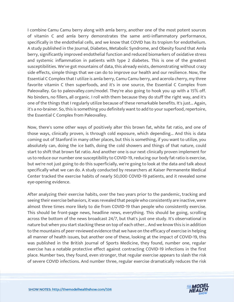I combine Camu Camu berry along with amla berry, another one of the most potent sources of vitamin C and amla berry demonstrates the same anti-inflammatory performance, specifically in the endothelial cells, and we know that COVID has its tropism for endothelium. A study published in the Journal, Diabetes, Metabolic Syndrome, and Obesity found that Amla berry, significantly improved endothelial function and reduced biomarkers of oxidative stress and systemic inflammation in patients with type 2 diabetes. This is one of the greatest susceptibilities. We've got mountains of data, this already exists, demonstrating without crazy side effects, simple things that we can do to improve our health and our resilience. Now, the Essential C Complex that I utilize is amla berry, Camu Camu berry, and acerola cherry, my three favorite vitamin C then superfoods, and it's in one source, the Essential C Complex from Paleovalley. Go to paleovalley.com/model. They're also going to hook you up with a 15% off. No binders, no fillers, all organic. I roll with them because they do stuff the right way, and it's one of the things that I regularly utilize because of these remarkable benefits. It's just... Again, it's a no-brainer. So, this is something you definitely want to add to your superfood, repertoire, the Essential C Complex from Paleovalley.

Now, there's some other ways of positively alter this brown fat, white fat ratio, and one of those ways, clinically proven, is through cold exposure, which depending... And this is data coming out of Stanford in many other places, but this is something, if you want to utilize, you absolutely can, doing the ice bath, doing the cold showers and things of that nature, could start to shift that brown fat ratio. And another one is our next clinically proven implement for us to reduce our number one susceptibility to COVID-19, reducing our body fat ratio is exercise, but we're not just going to do this superficially, we're going to look at the data and talk about specifically what we can do. A study conducted by researchers at Kaiser Permanente Medical Center tracked the exercise habits of nearly 50,000 COVID-19 patients, and it revealed some eye-opening evidence.

After analyzing their exercise habits, over the two years prior to the pandemic, tracking and seeing their exercise behaviors, it was revealed that people who consistently are inactive, were almost three times more likely to die from COVID-19 than people who consistently exercise. This should be front-page news, headline news, everything. This should be going, scrolling across the bottom of the news broadcast 24/7, but that's just one study. It's observational in nature but when you start stacking these on top of each other... And we know this is in addition to the mountains of peer-reviewed evidence that we have on the efficacy of exercise in helping all manner of health issues, but another one of these, looking at the impact of COVID-19, this was published in the British Journal of Sports Medicine, they found, number one, regular exercise has a notable protective effect against contracting COVID-19 infections in the first place. Number two, they found, even stronger, that regular exercise appears to slash the risk of severe COVID infections. And number three, regular exercise dramatically reduces the risk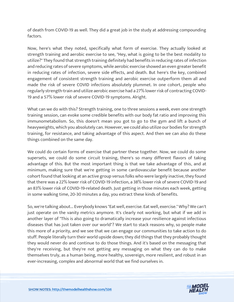of death from COVID-19 as well. They did a great job in the study at addressing compounding factors.

Now, here's what they noted, specifically what form of exercise. They actually looked at strength training and aerobic exercise to see, "Hey, what is going to be the best modality to utilize?" They found that strength training definitely had benefits in reducing rates of infection and reducing rates of severe symptoms, while aerobic exercise showed an even greater benefit in reducing rates of infection, severe side effects, and death. But here's the key, combined engagement of consistent strength training and aerobic exercise outperform them all and made the risk of severe COVID infections absolutely plummet. In one cohort, people who regularly strength-train and utilize aerobic exercise had a 27% lower risk of contracting COVID-19 and a 57% lower risk of severe COVID-19 symptoms. Alright.

What can we do with this? Strength training, one to three sessions a week, even one strength training session, can evoke some credible benefits with our body fat ratio and improving this immunometabolism. So, this doesn't mean you got to go to the gym and lift a bunch of heavyweights, which you absolutely can. However, we could also utilize our bodies for strength training, for resistance, and taking advantage of this aspect. And then we can also do these things combined on the same day.

We could do certain forms of exercise that partner these together. Now, we could do some supersets, we could do some circuit training, there's so many different flavors of taking advantage of this. But the most important thing is that we take advantage of this, and at minimum, making sure that we're getting in some cardiovascular benefit because another cohort found that looking at an active group versus folks who were largely inactive, they found that there was a 22% lower risk of COVID-19 infection, a 38% lower risk of severe COVID-19 and an 83% lower risk of COVID-19-related death. Just getting in those minutes each week, getting in some walking time, 20-30 minutes a day, you extract these kinds of benefits.

So, we're talking about... Everybody knows "Eat well, exercise. Eat well, exercise." Why? We can't just operate on the vanity metrics anymore. It's clearly not working, but what if we add in another layer of "This is also going to dramatically increase your resilience against infectious diseases that has just taken over our world"? We start to stack reasons why, so people make this more of a priority, and we see that we can engage our communities to take action to do stuff. People literally turn their world upside down; they did things that they probably thought they would never do and continue to do those things. And it's based on the messaging that they're receiving, but they're not getting any messaging on what they can do to make themselves truly, as a human being, more healthy, sovereign, more resilient, and robust in an ever-increasing, complex and abnormal world that we find ourselves in.

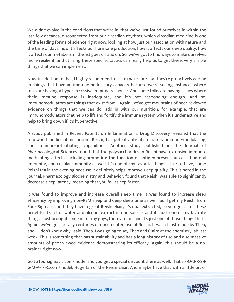We didn't evolve in the conditions that we're in, that we've just found ourselves in within the last few decades, disconnected from our circadian rhythms, which circadian medicine is one of the leading forms of science right now, looking at how just our association with nature and the time of days, how it affects our hormone production, how it affects our sleep quality, how it affects our metabolism, the list goes on and on. So, we've got to find ways to make ourselves more resilient, and utilizing these specific tactics can really help us to get there, very simple things that we can implement.

Now, in addition to that, I highly recommend folks to make sure that they're proactively adding in things that have an immunomodulatory capacity because we're seeing instances where folks are having a hyper-excessive immune response. And some folks are having issues where their immune response is inadequate, and it's not responding enough. And so, immunomodulators are things that exist from... Again, we've got mountains of peer-reviewed evidence on things that we can do, add in with our nutrition, for example, that are immunomodulators that help to lift and fortify the immune system when it's under active and help to bring down if it's hyperactive.

A study published in Recent Patents on Inflammation & Drug Discovery revealed that the renowned medicinal mushroom, Reishi, has potent anti-inflammatory, immune-modulating, and immune-potentiating capabilities. Another study published in the Journal of Pharmacological Sciences found that the polysaccharides in Reishi have extensive immunomodulating effects, including promoting the function of antigen-presenting cells, humoral immunity, and cellular immunity as well. It's one of my favorite things. I like to have, some Reishi tea in the evening because it definitely helps improve sleep quality. This is noted in the journal, Pharmacology Biochemistry and Behavior, found that Reishi was able to significantly decrease sleep latency, meaning that you fall asleep faster.

It was found to improve and increase overall sleep time. It was found to increase sleep efficiency by improving non-REM sleep and deep sleep time as well. So, I get my Reishi from Four Sigmatic, and they have a great Reishi elixir, it's dual extracted, so you get all of these benefits. It's a hot water and alcohol extract in one source, and it's just one of my favorite things. I just brought some in for my guys, for my team, and it's just one of those things that... Again, we've got literally centuries of documented use of Reishi. It wasn't just made by Theo, and... I don't know why I said, Theo. I was going to say Theo and Claire at the chemistry lab last week. This is something that has sustainability and has a long history of use and also massive amounts of peer-viewed evidence demonstrating its efficacy. Again, this should be a nobrainer right now.

Go to foursigmatic.com/model and you get a special discount there as well. That's F-O-U-R-S-I-G-M-A-T-I-C.com/model. Huge fan of the Reishi Elixir. And maybe have that with a little bit of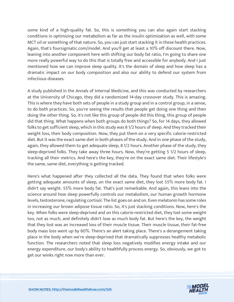some kind of a high-quality fat. So, this is something you can also again start stacking conditions in optimizing our metabolism as far as the insulin optimization as well, with some MCT oil or something of that nature. So, you can just start stacking it in these health practices. Again, that's foursigmatic.com/model. And you'll get at least a 10% off discount there. Now, leaning into another component here with shifting our body fat ratio, I'm going to share one more really powerful way to do this that is totally free and accessible for anybody. And I just mentioned how we can improve sleep quality. It's the domain of sleep and how sleep has a dramatic impact on our body composition and also our ability to defend our system from infectious diseases.

A study published in the Annals of Internal Medicine, and this was conducted by researchers at the University of Chicago, they did a randomized 14-day crossover study. This is amazing. This is where they have both sets of people in a study group and in a control group, in a sense, to do both practices. So, you're seeing the results that people get doing one thing and then doing the other thing. So, it's not like this group of people did this thing, this group of people did that thing. What happens when both groups do both things? So, for 14 days, they allowed folks to get sufficient sleep, which in this study was 8 1/2 hours of sleep. And they tracked their weight loss, their body composition. Now, they put them on a very specific calorie-restricted diet. But it was the exact same diet in both phases of the study. And in one phase of the study, again, they allowed them to get adequate sleep, 8 1/2 hours. Another phase of the study, they sleep-deprived folks. They take away three hours. Now, they're getting 5 1/2 hours of sleep, tracking all their metrics. And here's the key, they're on the exact same diet. Their lifestyle's the same, same diet, everything is getting tracked.

Here's what happened after they collected all the data. They found that when folks were getting adequate amounts of sleep, on the exact same diet, they lost 55% more body fat. I didn't say weight. 55% more body fat. That's just remarkable. And again, this leans into the science around how sleep powerfully controls our metabolism, our human growth hormone levels, testosterone, regulating cortisol. The list goes on and on. Even melatonin has some roles in increasing our brown adipose tissue ratio. So, it's just stacking conditions. Now, here's the key. When folks were sleep-deprived and on this calorie-restricted diet, they lost some weight too, not as much, and definitely didn't lose as much body fat. But here's the key, the weight that they lost was an increased loss of their muscle tissue. Their muscle tissue, their fat-free body mass loss went up by 60%. There's an alert taking place. There's a derangement taking place in the body when we're sleep-deprived that dramatically suppresses healthy metabolic function. The researchers noted that sleep loss negatively modifies energy intake and our energy expenditure, our body's ability to healthfully process energy. So, obviously, we got to get our winks right now more than ever.

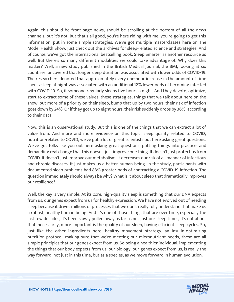Again, this should be front-page news, should be scrolling at the bottom of all the news channels, but it's not. But that's all good, you're here riding with me, you're going to get this information, put in some simple strategies. We've got multiple masterclasses here on The Model Health Show. Just check out the archives for sleep-related science and strategies. And of course, we've got the international bestselling book, Sleep Smarter as another resource as well. But there's so many different modalities we could take advantage of. Why does this matter? Well, a new study published in the British Medical Journal, the BMJ, looking at six countries, uncovered that longer sleep duration was associated with lower odds of COVID-19. The researchers denoted that approximately every one-hour increase in the amount of time spent asleep at night was associated with an additional 12% lower odds of becoming infected with COVID-19. So, if someone regularly sleeps five hours a night. And they devote, optimize, start to extract some of these values, these strategies, things that we talk about here on the show, put more of a priority on their sleep, bump that up by two hours, their risk of infection goes down by 24%. Or if they got up to eight hours, their risk suddenly drops by 36%, according to their data.

Now, this is an observational study. But this is one of the things that we can extract a lot of value from. And more and more evidence on this topic, sleep quality related to COVID, nutrition-related to COVID, we've got a lot of great scientists out here asking great questions. We've got folks like you out here asking great questions, putting things into practice, and demanding real change that this doesn't just improve one thing. It doesn't just protect us from COVID. It doesn't just improve our metabolism. It decreases our risk of all manner of infectious and chronic diseases. It just makes us a better human being. In the study, participants with documented sleep problems had 88% greater odds of contracting a COVID-19 infection. The question immediately should always be why? What is it about sleep that dramatically improves our resilience?

Well, the key is very simple. At its core, high-quality sleep is something that our DNA expects from us, our genes expect from us for healthy expression. We have not evolved out of needing sleep because it drives millions of processes that we don't really fully understand that make us a robust, healthy human being. And it's one of those things that are over time, especially the last few decades, it's been slowly pulled away as far as not just our sleep times, it's not about that, necessarily, more important is the quality of our sleep, having efficient sleep cycles. So, just like the other ingredients here, healthy movement strategy, an insulin-optimizing nutrition protocol, making sure that we're meeting our micronutrient needs, these are all simple principles that our genes expect from us. So being a healthier individual, implementing the things that our body expects from us, our biology, our genes expect from us, is really the way forward, not just in this time, but as a species, as we move forward in human evolution.